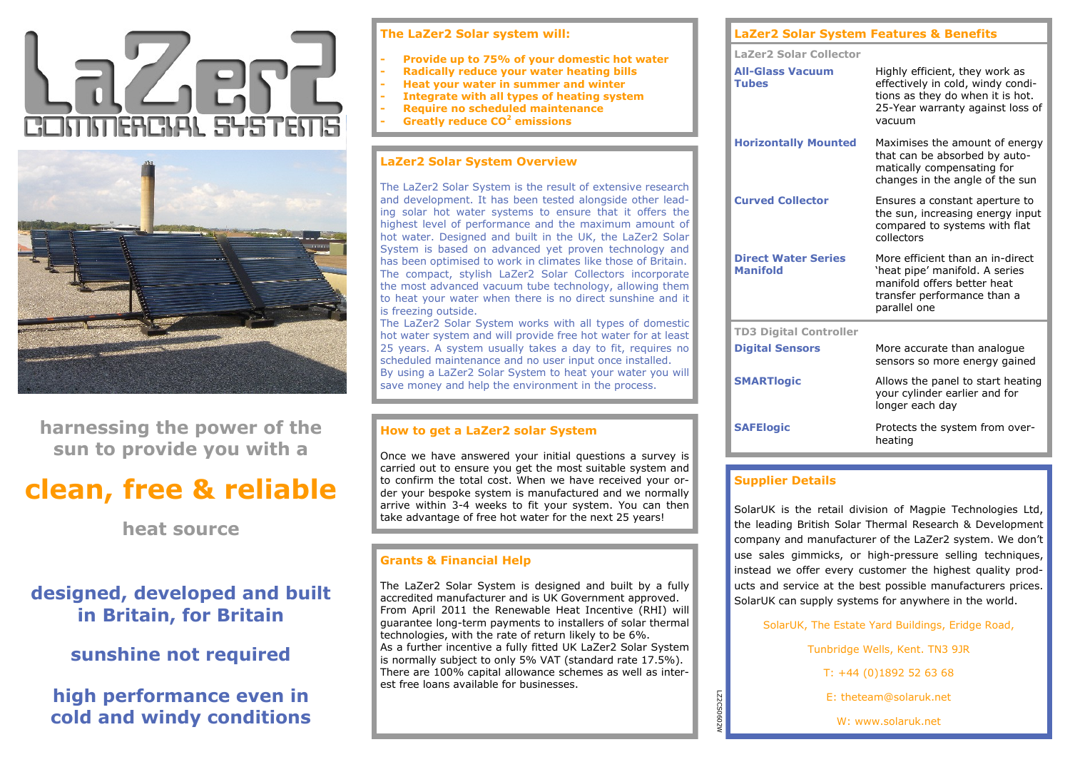



**harnessing the power of the sun to provide you with a**

# **clean, free & reliable**

**heat source**

# **designed, developed and built in Britain, for Britain**

# **sunshine not required**

# **high performance even in cold and windy conditions**

| The LaZer2 Solar system will: |  |  |  |
|-------------------------------|--|--|--|
|                               |  |  |  |

- **- Provide up to 75% of your domestic hot water**
- **- Radically reduce your water heating bills**
- **- Heat your water in summer and winter**
- **- Integrate with all types of heating system**
- **- Require no scheduled maintenance**
- **- Greatly reduce CO<sup>2</sup> emissions**

# **LaZer2 Solar System Overview**

The LaZer2 Solar System is the result of extensive research and development. It has been tested alongside other leading solar hot water systems to ensure that it offers the highest level of performance and the maximum amount of hot water. Designed and built in the UK, the LaZer2 Solar System is based on advanced yet proven technology and has been optimised to work in climates like those of Britain. The compact, stylish LaZer2 Solar Collectors incorporate the most advanced vacuum tube technology, allowing them to heat your water when there is no direct sunshine and it is freezing outside.

The LaZer2 Solar System works with all types of domestic hot water system and will provide free hot water for at least 25 years. A system usually takes a day to fit, requires no scheduled maintenance and no user input once installed. By using a LaZer2 Solar System to heat your water you will save money and help the environment in the process.

# **How to get a LaZer2 solar System**

Once we have answered your initial questions a survey is carried out to ensure you get the most suitable system and to confirm the total cost. When we have received your order your bespoke system is manufactured and we normally arrive within 3-4 weeks to fit your system. You can then take advantage of free hot water for the next 25 years!

# **Grants & Financial Help**

The LaZer2 Solar System is designed and built by a fully accredited manufacturer and is UK Government approved. From April 2011 the Renewable Heat Incentive (RHI) will guarantee long-term payments to installers of solar thermal technologies, with the rate of return likely to be 6%. As a further incentive a fully fitted UK LaZer2 Solar System is normally subject to only 5% VAT (standard rate 17.5%). There are 100% capital allowance schemes as well as interest free loans available for businesses.

| <b>LaZer2 Solar System Features &amp; Benefits</b> |                                                                                                                                                       |  |  |  |  |
|----------------------------------------------------|-------------------------------------------------------------------------------------------------------------------------------------------------------|--|--|--|--|
| <b>LaZer2 Solar Collector</b>                      |                                                                                                                                                       |  |  |  |  |
| <b>All-Glass Vacuum</b><br><b>Tubes</b>            | Highly efficient, they work as<br>effectively in cold, windy condi-<br>tions as they do when it is hot.<br>25-Year warranty against loss of<br>vacuum |  |  |  |  |
| <b>Horizontally Mounted</b>                        | Maximises the amount of energy<br>that can be absorbed by auto-<br>matically compensating for<br>changes in the angle of the sun                      |  |  |  |  |
| <b>Curved Collector</b>                            | Ensures a constant aperture to<br>the sun, increasing energy input<br>compared to systems with flat<br>collectors                                     |  |  |  |  |
| <b>Direct Water Series</b><br><b>Manifold</b>      | More efficient than an in-direct<br>'heat pipe' manifold. A series<br>manifold offers better heat<br>transfer performance than a<br>parallel one      |  |  |  |  |
| <b>TD3 Digital Controller</b>                      |                                                                                                                                                       |  |  |  |  |
| <b>Digital Sensors</b>                             | More accurate than analogue<br>sensors so more energy gained                                                                                          |  |  |  |  |
| <b>SMARTlogic</b>                                  | Allows the panel to start heating<br>your cylinder earlier and for<br>longer each day                                                                 |  |  |  |  |
| <b>SAFElogic</b>                                   | Protects the system from over-                                                                                                                        |  |  |  |  |

# **Supplier Details**

LZ2CS0602W

LZ2CS06C

SolarUK is the retail division of Magpie Technologies Ltd, the leading British Solar Thermal Research & Development company and manufacturer of the LaZer2 system. We don't use sales gimmicks, or high-pressure selling techniques, instead we offer every customer the highest quality products and service at the best possible manufacturers prices. SolarUK can supply systems for anywhere in the world.

heating

SolarUK, The Estate Yard Buildings, Eridge Road,

Tunbridge Wells, Kent. TN3 9JR T: +44 (0)1892 52 63 68 E: theteam@solaruk.net W: www.solaruk.net